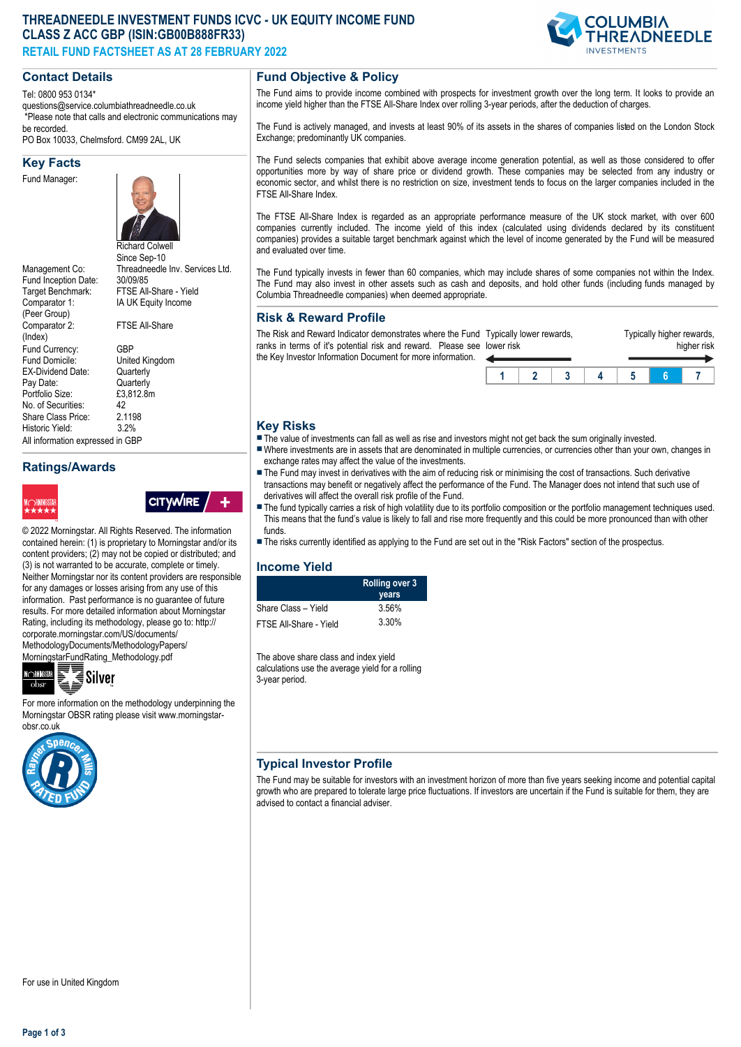# **THREADNEEDLE INVESTMENT FUNDS ICVC - UK EQUITY INCOME FUND CLASS Z ACC GBP (ISIN:GB00B888FR33) RETAIL FUND FACTSHEET AS AT 28 FEBRUARY 2022**



## **Contact Details**

Tel: 0800 953 0134\* questions@service.columbiathreadneedle.co.uk \*Please note that calls and electronic communications may be recorded.

PO Box 10033, Chelmsford. CM99 2AL, UK

#### **Key Facts**

Fund Manager:



Fund Inception Date:<br>Target Benchmark: Comparator 1: (Peer Group) Comparator 2: (Index) Fund Currency: GBP<br>Fund Domicile: Unite EX-Dividend Date: Pay Date: Cuarterly<br>Portfolio Size: E3,812.8m Portfolio Size: £3<br>No. of Securities: 42 No. of Securities: 42<br>Share Class Price: 21198 Share Class Price: 2.119<br>Historic Yield: 3.2% Historic Yield: All information expressed in GBP

Richard Colwell Since Sep-10 Management Co: Threadneedle Inv. Services Ltd.<br>Fund Inception Date: 30/09/85 FTSF All-Share - Yield IA UK Equity Income FTSE All-Share United Kingdom<br>Quarterly

# **Ratings/Awards**



**CITYWIRE** 

© 2022 Morningstar. All Rights Reserved. The information contained herein: (1) is proprietary to Morningstar and/or its content providers; (2) may not be copied or distributed; and (3) is not warranted to be accurate, complete or timely. Neither Morningstar nor its content providers are responsible for any damages or losses arising from any use of this information. Past performance is no guarantee of future results. For more detailed information about Morningstar Rating, including its methodology, please go to: http:// corporate.morningstar.com/US/documents/ MethodologyDocuments/MethodologyPapers/ MorningstarFundRating\_Methodology.pdf



For more information on the methodology underpinning the Morningstar OBSR rating please visit www.morningstarobsr.co.uk



## **Fund Objective & Policy**

The Fund aims to provide income combined with prospects for investment growth over the long term. It looks to provide an income yield higher than the FTSE All-Share Index over rolling 3-year periods, after the deduction of charges.

The Fund is actively managed, and invests at least 90% of its assets in the shares of companies listed on the London Stock Exchange; predominantly UK companies.

The Fund selects companies that exhibit above average income generation potential, as well as those considered to offer opportunities more by way of share price or dividend growth. These companies may be selected from any industry or economic sector, and whilst there is no restriction on size, investment tends to focus on the larger companies included in the FTSE All-Share Index.

The FTSE All-Share Index is regarded as an appropriate performance measure of the UK stock market, with over 600 companies currently included. The income yield of this index (calculated using dividends declared by its constituent companies) provides a suitable target benchmark against which the level of income generated by the Fund will be measured and evaluated over time.

The Fund typically invests in fewer than 60 companies, which may include shares of some companies not within the Index. The Fund may also invest in other assets such as cash and deposits, and hold other funds (including funds managed by Columbia Threadneedle companies) when deemed appropriate.

## **Risk & Reward Profile**

The Risk and Reward Indicator demonstrates where the Fund Typically lower rewards, ranks in terms of it's potential risk and reward. Please see lower risk the Key Investor Information Document for more information.



## **Key Risks**

- $\blacksquare$  The value of investments can fall as well as rise and investors might not get back the sum originally invested.
- nWhere investments are in assets that are denominated in multiple currencies, or currencies other than your own, changes in exchange rates may affect the value of the investments.
- The Fund may invest in derivatives with the aim of reducing risk or minimising the cost of transactions. Such derivative transactions may benefit or negatively affect the performance of the Fund. The Manager does not intend that such use of derivatives will affect the overall risk profile of the Fund.
- The fund typically carries a risk of high volatility due to its portfolio composition or the portfolio management techniques used. This means that the fund's value is likely to fall and rise more frequently and this could be more pronounced than with other funds.
- n The risks currently identified as applying to the Fund are set out in the "Risk Factors" section of the prospectus.

#### **Income Yield**

|                        | <b>Rolling over 3</b><br>years |
|------------------------|--------------------------------|
| Share Class - Yield    | 3.56%                          |
| FTSE All-Share - Yield | 3.30%                          |

The above share class and index yield calculations use the average yield for a rolling 3-year period.

## **Typical Investor Profile**

The Fund may be suitable for investors with an investment horizon of more than five years seeking income and potential capital growth who are prepared to tolerate large price fluctuations. If investors are uncertain if the Fund is suitable for them, they are advised to contact a financial adviser.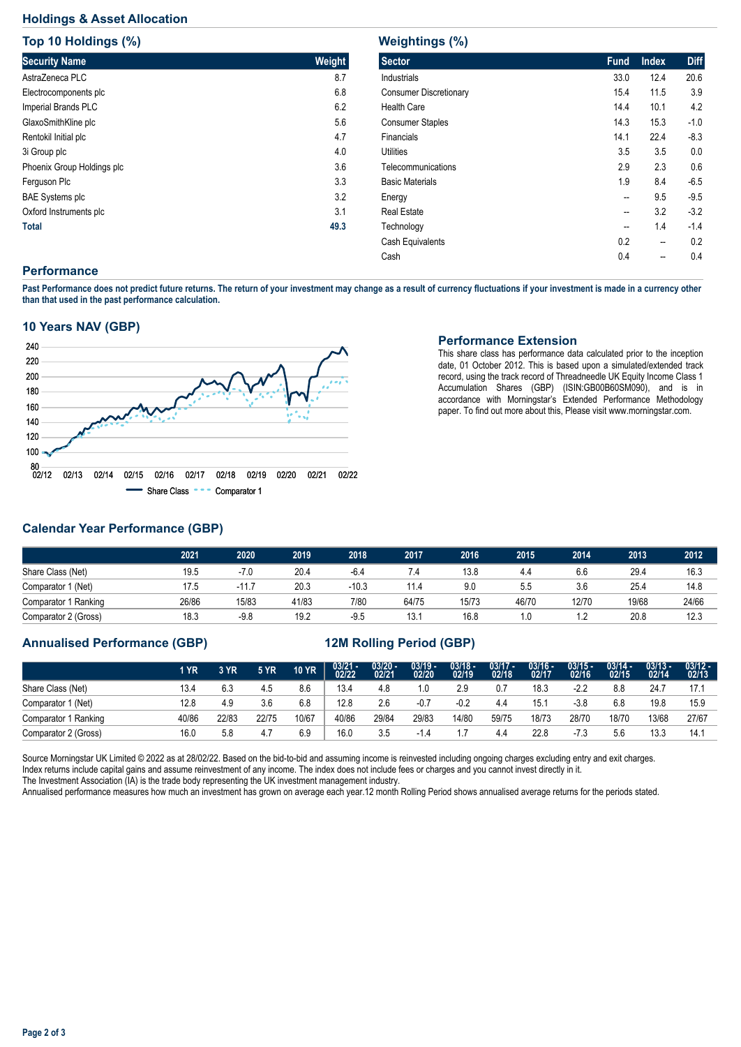## **Holdings & Asset Allocation**

**Top 10 Holdings (%)**

| <b>TOD 10 HOIGINGS (%)</b> |        |
|----------------------------|--------|
| <b>Security Name</b>       | Weight |
| AstraZeneca PLC            | 8.7    |
| Electrocomponents plc      | 6.8    |
| Imperial Brands PLC        | 6.2    |
| GlaxoSmithKline plc        | 5.6    |
| Rentokil Initial plc       | 4.7    |
| 3i Group plc               | 4.0    |
| Phoenix Group Holdings plc | 3.6    |
| Ferguson Plc               | 3.3    |
| <b>BAE Systems plc</b>     | 3.2    |
| Oxford Instruments plc     | 3.1    |
| <b>Total</b>               | 49.3   |

| <b>Sector</b>                 | <b>Fund</b> | <b>Index</b> | <b>Diff</b> |
|-------------------------------|-------------|--------------|-------------|
| <b>Industrials</b>            | 33.0        | 12.4         | 20.6        |
| <b>Consumer Discretionary</b> | 15.4        | 11.5         | 3.9         |
| Health Care                   | 14.4        | 10.1         | 4.2         |
| <b>Consumer Staples</b>       | 14.3        | 15.3         | $-1.0$      |
| Financials                    | 14.1        | 22.4         | $-8.3$      |
| Utilities                     | 3.5         | 3.5          | 0.0         |
| Telecommunications            | 2.9         | 2.3          | 0.6         |
| <b>Basic Materials</b>        | 1.9         | 8.4          | $-6.5$      |
| Energy                        | --          | 9.5          | $-9.5$      |
| <b>Real Estate</b>            | --          | 3.2          | $-3.2$      |
| Technology                    | --          | 1.4          | $-1.4$      |
| Cash Equivalents              | 0.2         | --           | 0.2         |

Cash 0.4 - 0.4

## **Performance**

**Past Performance does not predict future returns. The return of your investment may change as a result of currency fluctuations if your investment is made in a currency other than that used in the past performance calculation.** 

### **10 Years NAV (GBP)**



### **Performance Extension**

This share class has performance data calculated prior to the inception date, 01 October 2012. This is based upon a simulated/extended track record, using the track record of Threadneedle UK Equity Income Class 1 Accumulation Shares (GBP) (ISIN:GB00B60SM090), and is in accordance with Morningstar's Extended Performance Methodology paper. To find out more about this, Please visit www.morningstar.com.

## **Calendar Year Performance (GBP)**

|                      | 2021  | 2020    | 2019  | 2018   | 2017  | 2016  | 2015  | 2014  | 2013  | 2012  |
|----------------------|-------|---------|-------|--------|-------|-------|-------|-------|-------|-------|
| Share Class (Net)    | 19.5  | $-7.0$  | 20.4  | $-6.4$ | 7.4   | 13.8  | 4.4   | 6.6   | 29.4  | 16.3  |
| Comparator 1 (Net)   | 17.5  | $-11.7$ | 20.3  | -10.3  | 11.4  | 9.0   | 5.5   | 3.6   | 25.4  | 14.8  |
| Comparator 1 Ranking | 26/86 | 15/83   | 41/83 | 7/80   | 64/75 | 15/73 | 46/70 | 12/70 | 19/68 | 24/66 |
| Comparator 2 (Gross) | 18.3  | $-9.8$  | 19.2  | $-9.5$ | 13.7  | 16.8  |       |       | 20.8  | 12.3  |

## **Annualised Performance (GBP) 12M Rolling Period (GBP)**

|                      | 1 YR  | 3 YR  | <b>5 YR</b> | <b>10 YR</b> | $\frac{03/21}{02/22}$ | $\frac{03/20 - 0.21}{02/21}$ | $03/19 - 02/20$ | $\frac{03/18 - 02}{19}$ | $03/17 -$<br>02/18 | $03/16 -$<br>02/17 | $03/15 -$<br>02/16 | $03/14 -$<br>02/15 | $03/13 -$<br>02/14 | $03/12 -$<br>02/13 |
|----------------------|-------|-------|-------------|--------------|-----------------------|------------------------------|-----------------|-------------------------|--------------------|--------------------|--------------------|--------------------|--------------------|--------------------|
| Share Class (Net)    | 13.4  | 6.3   | 4.5         | 8.6          | 13.4                  | 4.8                          | 1.0             | 2.9                     | 0.7                | 18.3               | $-2.2$             | 8.8                | 24.7               |                    |
| Comparator 1 (Net)   | 12.8  | 4.9   | 3.6         | 6.8          | 12.8                  | 2.6                          | -0.7            | -0.2                    | 4.4                | 15.7               | $-3.8$             | 6.8                | 19.8               | 15.9               |
| Comparator 1 Ranking | 40/86 | 22/83 | 22/75       | 10/67        | 40/86                 | 29/84                        | 29/83           | 14/80                   | 59/75              | 18/73              | 28/70              | 18/70              | 13/68              | 27/67              |
| Comparator 2 (Gross) | 16.0  | 5.8   | 4.7         | 6.9          | 16.0                  | 3.5                          |                 |                         | 4.4                | 22.8               | $-7.3$             | 5.6                | 13.3               | 14.1               |

Source Morningstar UK Limited © 2022 as at 28/02/22. Based on the bid-to-bid and assuming income is reinvested including ongoing charges excluding entry and exit charges. Index returns include capital gains and assume reinvestment of any income. The index does not include fees or charges and you cannot invest directly in it. The Investment Association (IA) is the trade body representing the UK investment management industry.

Annualised performance measures how much an investment has grown on average each year.12 month Rolling Period shows annualised average returns for the periods stated.